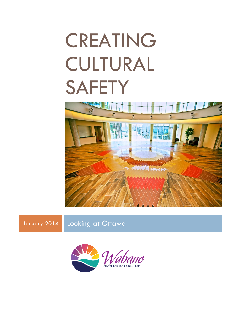# CREATING CULTURAL **SAFETY**



January 2014 Looking at Ottawa

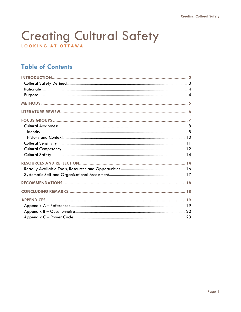# **Creating Cultural Safety** LOOKING AT OTTAWA

# **Table of Contents**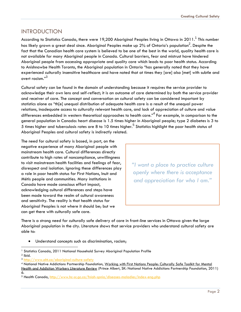## <span id="page-2-0"></span>**INTRODUCTION**

According to Statistics Canada, there were 19,200 Aboriginal Peoples living in Ottawa in 2011. $^{\rm 1}$  This number has likely grown a great deal since. Aboriginal Peoples make up 2% of Ontario's population $^2$ . Despite the fact that the Canadian health care system is believed to be one of the best in the world, quality health care is not available for many Aboriginal people in Canada. Cultural barriers, fear and mistrust have hindered Aboriginal people from accessing appropriate and quality care which leads to poor health status. According to Anishnawbe Health Toronto, the Aboriginal population in Ontario "has generally noted that they have experienced culturally insensitive healthcare and have noted that at times they [are] also [met] with subtle and overt racism."<sup>3</sup>

Cultural safety can be found in the domain of understanding because it requires the service provider to acknowledge their own lens and self-reflect; it is an outcome of care determined by both the service provider and receiver of care. The concept and conversation on cultural safety can be considered important by statistics alone as "th[e] unequal distribution of adequate health care is a result of the unequal power relations, inadequate access to culturally relevant health care, and lack of appreciation of culture and value differences embedded in western theoretical approaches to health care." $^4$  For example, in comparison to the general population in Canada: heart disease is 1.5 times higher in Aboriginal people; type 2 diabetes is 3 to 5 times higher and tuberculosis rates are 8 to 10 times higher. $^5$  Statistics highlight the poor health status of Aboriginal Peoples and cultural safety is indirectly related.

The need for cultural safety is based, in part, on the negative experience of many Aboriginal people with mainstream health care. Cultural differences directly contribute to high rates of noncompliance, unwillingness to visit mainstream health facilities and feelings of fear, disrespect and isolation. Ignoring these differences play a role in poor health status for First Nations, Inuit and Métis people and communities. Many institutions in Canada have made conscious effort impact, acknowledging cultural differences and steps have been made toward the realm of cultural awareness and sensitivity. The reality is that health status for Aboriginal Peoples is not where it should be; but we can get there with culturally safe care.

*"I want a place to practice culture openly where there is acceptance and appreciation for who I am."*

There is a strong need for culturally safe delivery of care in front-line services in Ottawa given the large Aboriginal population in the city. Literature shows that service providers who understand cultural safety are able to:

Understand concepts such as discrimination, racism;

l <sup>1</sup> Statistics Canada, 2011 National Household Survey Aboriginal Population Profile

 $2$  Ibid.

<sup>3</sup> <http://www.aht.ca/aboriginal-culture-safety>

<sup>4</sup> National Native Addictions Partnership Foundation, Working with First Nations People: Culturally Safe Toolkit for Mental Health and Addiction Workers Literature Review (Prince Albert, SK: National Native Addictions Partnership Foundation, 2011) 6.

<sup>5</sup> Health Canada,<http://www.hc-sc.gc.ca/fniah-spnia/diseases-maladies/index-eng.php>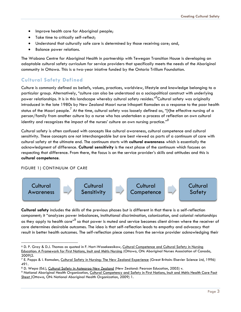- Improve health care for Aboriginal people;
- Take time to critically self-reflect;
- Understand that culturally safe care is determined by those receiving care; and,
- **•** Balance power relations.

The Wabano Centre for Aboriginal Health in partnership with Tewegan Transition House is developing an adaptable cultural safety curriculum for service providers that specifically meets the needs of the Aboriginal community in Ottawa. This is a two-year iniative funded by the Ontario Trillium Foundation.

#### <span id="page-3-0"></span>**Cultural Safety Defined**

Culture is commonly defined as beliefs, values, practices, worldview, lifestyle and knowledge belonging to a particular group. Alternatively, "culture can also be understood as a sociopolitical construct with underlying power relationships. It is in this landscape whereby cultural safety resides."<sup>6</sup>Cultural safety was originally introduced in the late 1980s by New Zealand Maori nurse Irihapeti Ramsden as a response to the poor health status of the Maori people.<sup>7</sup> At the time, cultural safety was loosely defined as, "[t]he effective nursing of a person/family from another culture by a nurse who has undertaken a process of reflection on own cultural identity and recognizes the impact of the nurses' culture on own nursing practice." *8*

Cultural safety is often confused with concepts like cultural awareness, cultural competence and cultural sensitivity. These concepts are not interchangeable but are best viewed as parts of a continuum of care with cultural safety at the ultimate end. The continuum starts with **cultural awareness** which is essentially the acknowledgment of difference. **Cultural sensitivity** is the next phase of the continuum which focuses on respecting that difference. From there, the focus is on the service provider's skills and attitudes and this is **cultural competence**.

#### FIGURE 1) CONTINUUM OF CARE

l



**Cultural safety** includes the skills of the previous phases but is different in that there is a self-reflection component; it "analyzes power imbalances, institutional discrimination, colonization, and colonial relationships as they apply to health care"<sup>9</sup> so that power is muted and service becomes client driven where the receiver of care determines desirable outcomes. The idea is that self-reflection leads to empathy and advocacy that result in better health outcomes. The self-reflection piece comes from the service provider acknowledging their

<sup>6</sup> D. P. Gray & D.J. Thomas as quoted in F. Hart-Wasekeesikaw, Cultural Competence and Cultural Safety in Nursing Education: A Framework for First Nations, Inuit and Métis Nursing (Ottawa, ON: Aboriginal Nurses Association of Canada, 2009)2.

<sup>&</sup>lt;sup>7</sup> E. Papps & I. Ramsden, Cultural Safety in Nursing: The New Zealand Experience (Great Britain: Elsevier Science Ltd, 1996) 491.

<sup>8</sup> D. Wepa (Ed.), Cultural Safety in Aotearoa New Zealand (New Zealand: Pearson Education, 2005) v.

<sup>9</sup> National Aboriginal Health Organization, Cultural Competency and Safety in First Nations, Inuit and Métis Health Care Fact Sheet (Ottawa, ON: National Aboriginal Health Organization, 2009) 1.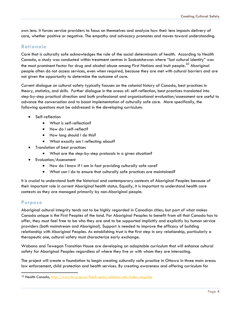own lens. It forces service providers to focus on themselves and analyze how their lens impacts delivery of care, whether positive or negative. The empathy and advocacy promotes and moves toward understanding.

#### <span id="page-4-0"></span>**Rationale**

Care that is culturally safe acknowledges the role of the social determinants of health. According to Health Canada, a study was conducted within treatment centres in Saskatchewan where "lost cultural identity" was the most prominent factor for drug and alcohol abuse among First Nations and Inuit people.<sup>10</sup> Aboriainal people often do not access services, even when required, because they are met with cultural barriers and are not given the opportunity to determine the outcome of care.

Current dialogue on cultural safety typically focuses on the colonial history of Canada, best practices in theory, statistics, and skills. Further dialogue in the areas of: self-reflection, best practices translated into step-by-step practical direction and both professional and organizational evaluation/assessment are useful to advance the conversation and to boost implementation of culturally safe care. More specifically, the following questions must be addressed in the developing curriculum:

- Self-reflection
	- What is self-reflection?
	- How do I self-reflect?
	- How long should I do this?
	- What exactly am I reflecting about?
- Translation of best practices
	- What are the step-by-step protocols in a given situation?
- Evaluation/Assessment
	- How do I know if I am in fact providing culturally safe care?
	- What can I do to ensure that culturally safe practices are maintained?

It is crucial to understand both the historical and contemporary contexts of Aboriginal Peoples because of their important role in current Aboriginal health status. Equally, it is important to understand health care contexts as they are managed primarily by non-Aboriginal people.

#### <span id="page-4-1"></span>**Purpose**

Aboriginal cultural integrity tends not to be highly regarded in Canadian cities; but part of what makes Canada unique is the First Peoples of the land. For Aboriginal Peoples to benefit from all that Canada has to offer, they must feel free to be who they are and to be supported implicitly and explicitly by human service providers (both mainstream and Aboriginal). Support is needed to improve the efficacy of building relationship with Aboriginal Peoples. As establishing trust is the first step in any relationship, particularly a therapeutic one, cultural safety must characterize early exchange.

Wabano and Tewegan Transition House are developing an adaptable curriculum that will enhance cultural safety for Aboriginal Peoples regardless of where they live or with whom they are interacting.

The project will create a foundation to begin creating culturally safe practice in Ottawa in three main areas: law enforcement, child protection and health services. By creating awareness and offering curriculum for

l <sup>10</sup> Health Canada,<http://www.hc-sc.gc.ca/fniah-spnia/substan/ads/index-eng.php>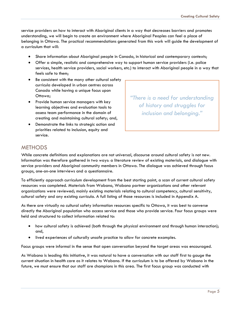service providers on how to interact with Aboriginal clients in a way that decreases barriers and promotes understanding, we will begin to create an environment where Aboriginal Peoples can feel a place of belonging in Ottawa. The practical recommendations generated from this work will guide the development of a curriculum that will:

- Share information about Aboriginal people in Canada, in historical and contemporary contexts;
- Offer a simple, realistic and comprehensive way to support human service providers (i.e. police services, health service providers, social workers, etc.) to interact with Aboriginal people in a way that feels safe to them;
- Be consistent with the many other cultural safety curricula developed in urban centres across Canada while having a unique focus upon Ottawa;
- Provide human service managers with key learning objectives and evaluation tools to assess team performance in the domain of creating and maintaining cultural safety; and,
- Demonstrate the links to strategic action and priorities related to inclusion, equity and service.

*"There is a need for understanding of history and struggles for inclusion and belonging."*

# <span id="page-5-0"></span>**METHODS**

While concrete definitions and explanations are not universal, discourse around cultural safety is not new. Information was therefore gathered in two ways: a literature review of existing materials, and dialogue with service providers and Aboriginal community members in Ottawa. The dialogue was achieved through focus groups, one-on-one interviews and a questionnaire.

To efficiently approach curriculum development from the best starting point, a scan of current cultural safety resources was completed. Materials from Wabano, Wabano partner organizations and other relevant organizations were reviewed; mainly existing materials relating to cultural competency, cultural sensitivity, cultural safety and any existing curricula. A full listing of those resources is included in Appendix A.

As there are virtually no cultural safety information resources specific to Ottawa, it was best to converse directly the Aboriginal population who access service and those who provide service. Four focus groups were held and structured to collect information related to:

- how cultural safety is achieved (both through the physical environment and through human interaction); and,
- lived experiences of culturally unsafe practice to allow for concrete examples.

Focus groups were informal in the sense that open conversation beyond the target areas was encouraged.

As Wabano is leading this initiative, it was natural to have a conversation with our staff first to gauge the current situation in health care as it relates to Wabano. If the curriculum is to be offered by Wabano in the future, we must ensure that our staff are champions in this area. The first focus group was conducted with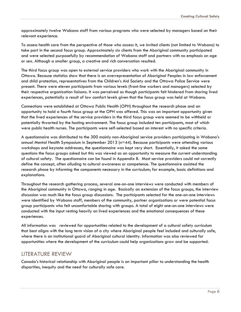approximately twelve Wabano staff from various programs who were selected by managers based on their relevant experience.

To assess health care from the perspective of those who access it, we invited clients (not limited to Wabano) to take part in the second focus group. Approximately six clients from the Aboriginal community participated and were selected purposefully by recommendation of Wabano staff and partners with no emphasis on age or sex. Although a smaller group, a creative and rich conversation resulted.

The third focus group was open to external service providers who work with the Aboriginal community in Ottawa. Because statistics show that there is an overrepresentation of Aboriginal Peoples in law enforcement and child protection, representatives from the Children's Aid Society and the Ottawa Police Service were present. There were eleven participants from various levels (front-line workers and managers) selected by their respective organization liaisons. It was perceived as though participants felt hindered from sharing lived experiences, potentially a result of low comfort levels given that the focus group was held at Wabano.

Connections were established at Ottawa Public Health (OPH) throughout the research phase and an opportunity to hold a fourth focus group at the OPH was offered. This was an important opportunity given that the lived experiences of the service providers in the third focus group were seemed to be withheld or potentially thwarted by the hosting environment. The focus group included ten participants, most of which were public health nurses. The participants were self-selected based on interest with no specific criteria.

A questionnaire was distributed to the 300 mainly non-Aboriginal service providers participating in Wabano's annual Mental Health Symposium in September 2013 (n=44). Because participants were attending various workshops and keynote addresses, the questionnaire was kept very short. Essentially, it asked the same questions the focus groups asked but this was viewed as an opportunity to measure the current understanding of cultural safety. The questionnaire can be found in Appendix B. Most service providers could not correctly define the concept, often alluding to cultural awareness or competence. The questionnaire assisted the research phase by informing the components necessary in the curriculum; for example, basic definitions and explanations.

Throughout the research gathering process, several one-on-one interviews were conducted with members of the Aboriginal community in Ottawa, ranging in age. Basically an extension of the focus groups, the interview discussion was much like the focus group discussions. The participants selected for the one-on-one interviews were identified by Wabano staff, members of the community, partner organizations or were potential focus group participants who felt uncomfortable sharing with groups. A total of eight one-on-one interviews were conducted with the input resting heavily on lived experiences and the emotional consequences of these experiences.

All information was reviewed for opportunities related to the development of a cultural safety curriculum that best aligns with the long term vision of a city where Aboriginal people feel included and culturally safe, where there is an institutional guard of Aboriginal cultural identity. Information was also reviewed for opportunities where the development of the curriculum could help organizations grow and be supported.

#### <span id="page-6-0"></span>LITERATURE REVIEW

Canada's historical relationship with Aboriginal people is an important pillar to understanding the health disparities, inequity and the need for culturally safe care.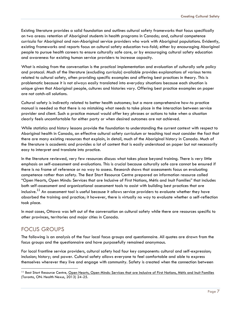Existing literature provides a solid foundation and outlines cultural safety frameworks that focus specifically on two areas: retention of Aboriginal students in health programs in Canada; and, cultural competence curricula for Aboriginal and non-Aboriginal service providers who work with Aboriginal populations. Evidently, existing frameworks and reports focus on cultural safety education two-fold; either by encouraging Aboriginal people to pursue health careers to ensure culturally safe care, or by encouraging cultural safety education and awareness for existing human service providers to increase capacity.

What is missing from the conversation is the practical implementation and evaluation of culturally safe policy and protocol. Much of the literature (excluding curricula) available provides explanations of various terms related to cultural safety, often providing specific examples and offering best practices in theory. This is problematic because it is not always easily translated into everyday situations because each situation is unique given that Aboriginal people, cultures and histories vary. Offering best practice examples on paper are not catch-all solutions.

Cultural safety is indirectly related to better health outcomes; but a more comprehensive how-to practice manual is needed so that there is no mistaking what needs to take place in the interaction between service provider and client. Such a practice manual would offer key phrases or actions to take when a situation clearly feels uncomfortable for either party or when desired outcomes are not achieved.

While statistics and history lessons provide the foundation to understanding the current context with respect to Aboriginal health in Canada, an effective cultural safety curriculum or teaching tool must consider the fact that there are many existing resources that explain, in detail, much of the Aboriginal history in Canada. Much of the literature is academic and provides a lot of content that is easily understood on paper but not necessarily easy to interpret and translate into practice.

In the literature reviewed, very few resources discuss what takes place beyond training. There is very little emphasis on self-assessment and evaluations. This is crucial because culturally safe care cannot be ensured if there is no frame of reference or no way to assess. Research shows that assessments focus on evaluating competence rather than safety. The Best Start Resource Centre prepared an information resource called "Open Hearts, Open Minds: Services that are Inclusive of First Nations, Métis and Inuit Families" that includes both self-assessment and organizational assessment tools to assist with building best practices that are inclusive.<sup>11</sup> An assessment tool is useful because it allows service providers to evaluate whether they have absorbed the training and practice; it however, there is virtually no way to evaluate whether a self-reflection took place.

In most cases, Ottawa was left out of the conversation on cultural safety while there are resources specific to other provinces, territories and major cities in Canada.

# <span id="page-7-0"></span>FOCUS GROUPS

l

The following is an analysis of the four local focus groups and questionnaire. All quotes are drawn from the focus groups and the questionnaire and have purposefully remained anonymous.

For local frontline service providers, cultural safety had four key components: cultural and self-expression; inclusion; history; and power. Cultural safety allows everyone to feel comfortable and able to express themselves wherever they live and engage with community. Safety is created when the connection between

<sup>&</sup>lt;sup>11</sup> Best Start Resource Centre, Open Hearts, Open Minds: Services that are Inclusive of First Nations, Métis and Inuit Families (Toronto, ON: Health Nexus, 2013) 24-25.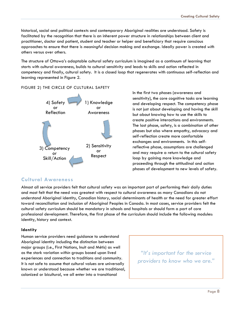historical, social and political contexts and contemporary Aboriginal realities are understood. Safety is facilitated by the recognition that there is an inherent power structure in relationships between client and practitioner, doctor and patient, student and teacher or helper and beneficiary that require conscious approaches to ensure that there is *meaningful* decision making and exchange. Ideally power is created *with* others versus over others.

The structure of Ottawa's adaptable cultural safety curriculum is imagined as a continuum of learning that starts with cultural awareness, builds to cultural sensitivity and leads to skills and action reflected in competency and finally, cultural safety. It is a closed loop that regenerates with continuous self-reflection and learning represented in Figure 2.

#### FIGURE 2) THE CIRCLE OF CULTURAL SAFETY



In the first two phases (awareness and sensitivity), the core cognitive tasks are learning and developing respect. The competency phase is not just about developing and having the skill but about knowing how to use the skills to create positive interactions and environments. The last phase, safety, is a combination of other phases but also where empathy, advocacy and self-reflection create more comfortable exchanges and environments. In this selfreflective phase, assumptions are challenged and may require a return to the cultural safety loop by gaining more knowledge and proceeding through the attitudinal and action phases of development to new levels of safety.

#### <span id="page-8-0"></span>**Cultural Awareness**

Almost all service providers felt that cultural safety was an important part of performing their daily duties and most felt that the need was greatest with respect to cultural awareness as many Canadians do not understand Aboriginal identity, Canadian history, social determinants of health or the need for greater effort toward reconciliation and inclusion of Aboriginal Peoples in Canada. In most cases, service providers felt the cultural safety curriculum should be mandatory in schools and hospitals or should form a part of core professional development. Therefore, the first phase of the curriculum should include the following modules: identity, history and context.

#### <span id="page-8-1"></span>**Identity**

Human service providers need guidance to understand Aboriginal identity including the distinction between major groups (i.e., First Nations, Inuit and Métis) as well as the stark variation *within* groups based upon lived experiences and connection to traditions and community. It is not safe to assume that cultural values are universally known or understood because whether we are traditional, colonized or bicultural, we all enter into a transitional

*"It's important for the service providers to know who we are."*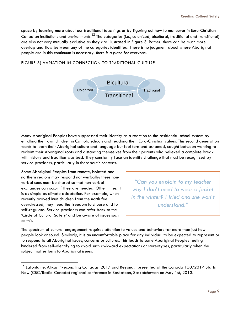space by learning more about our traditional teachings or by figuring out how to maneuver in Euro-Christian Canadian institutions and environments.<sup>12</sup> The categories (i.e., colonized, bicultural, traditional and transitional) are also not very mutually exclusive as they are illustrated in Figure 3. Rather, there can be much more overlap and flow between any of the categories identified. There is no judgment about where Aboriginal people are in this continuum is necessary: *there is a place for everyone*.

#### FIGURE 3) VARIATION IN CONNECTION TO TRADITIONAL CULTURE



Many Aboriginal Peoples have suppressed their identity as a reaction to the residential school system by enrolling their own children in Catholic schools and teaching them Euro-Christian values. This second generation wants to learn their Aboriginal culture and language but feel torn and ashamed, caught between wanting to reclaim their Aboriginal roots and distancing themselves from their parents who believed a complete break with history and tradition was best. They constantly face an identity challenge that must be recognized by service providers, particularly in therapeutic contexts.

Some Aboriginal Peoples from remote, isolated and northern regions may respond non-verbally: these nonverbal cues must be shared so that non-verbal exchanges can occur if they are needed. Other times, it is as simple as climate adaptation. For example, when recently arrived Inuit children from the north feel overdressed, they need the freedom to choose and to self-regulate. Service providers can refer back to the 'Circle of Cultural Safety' and be aware of issues such as this.

l

*"Can you explain to my teacher why I don't need to wear a jacket in the winter? I tried and she won't understand."* 

The spectrum of cultural engagement requires attention to values and behaviors far more than just how people look or sound. Similarly, it is an uncomfortable place for any individual to be expected to represent or to respond to all Aboriginal issues, concerns or cultures. This leads to some Aboriginal Peoples feeling hindered from self-identifying to avoid such awkward expectations or stereotypes, particularly when the subject matter turns to Aboriginal issues.

<sup>&</sup>lt;sup>12</sup> Lafontaine, Alika: "Reconciling Canada: 2017 and Beyond," presented at the Canada 150/2017 Starts Now (CBC/Radio-Canada) regional conference in Saskatoon, Saskatchewan on May 1st, 2013.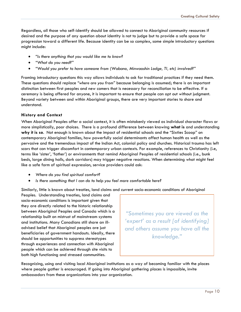Regardless, all those who self-identify should be allowed to connect to Aboriginal community resources if desired and the purpose of any question about identity is not to judge but to provide a safe space for progression toward a different life. Because identity can be so complex, some simple introductory questions might include:

- *"Is there anything that you would like me to know?*
- *"What do you need?"*
- *"Would you prefer to have someone from (Wabano, Minwaashin Lodge, TI, etc) involved?"*

Framing introductory questions this way allows individuals to ask for traditional practices if they need them. These questions should replace *"where are you from"* because belonging is assumed; there is an important distinction between first peoples and new comers that is necessary for reconciliation to be effective. If a ceremony is being offered for anyone, it is important to ensure that people can opt out without judgment. Beyond variety between and within Aboriginal groups, there are very important stories to share and understand.

#### <span id="page-10-0"></span>**History and Context**

When Aboriginal Peoples offer a social context, it is often mistakenly viewed as individual character flaws or more simplistically, poor choices. There is a profound difference between knowing **what is** and understanding **why it is so**. Not enough is known about the impact of residential schools and the "Sixties Scoop" on contemporary Aboriginal families, how powerfully social determinants affect human health as well as the pervasive and the tremendous impact of the Indian Act, colonial policy and churches. Historical trauma has left scars that can trigger discomfort in contemporary urban contexts. For example, references to Christianity (i.e, terms like 'sister', 'father') or environments that remind Aboriginal Peoples of residential schools (i.e., bunk beds, large dining halls, dark corridors) may trigger negative reactions. When determining what might feel like a safe form of spiritual expression, service providers could ask:

- *Where do you find spiritual comfort?*
- *Is there something that I can do to help you feel more comfortable here?*

Similarly, little is known about treaties, land claims and current socio-economic conditions of Aboriginal

Peoples. Understanding treaties, land claims and socio-economic conditions is important given that they are directly related to the historic relationship between Aboriginal Peoples and Canada which is a relationship built on mistrust of mainstream systems and institutions. Many Canadians still share an illadvised belief that Aboriginal peoples are just beneficiaries of government handouts. Ideally, there should be opportunities to suppress stereotypes through experiences and connection *with* Aboriginal people which can be achieved through site visits to both high functioning and stressed communities.

*"Sometimes you are viewed as the 'expert' as a result [of identifying] and others assume you have all the knowledge."*

Recognizing, using and visiting local Aboriginal institutions as a way of becoming familiar with the places where people gather is encouraged. If going into Aboriginal gathering places is impossible, invite ambassadors from these organizations into your organization.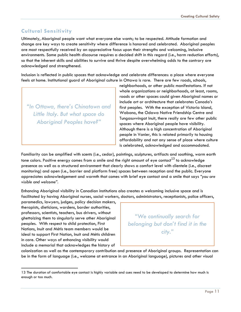## <span id="page-11-0"></span>**Cultural Sensitivity**

Ultimately, Aboriginal people want what everyone else wants; to be respected. Attitude formation and change are key ways to create sensitivity where difference is honored and celebrated. Aboriginal peoples are most respectfully received by an appreciative focus upon their strengths and welcoming, inclusive environments. Some public health discourse requires a decided shift in this regard (i.e., harm reduction efforts), so that the inherent skills and abilities to survive and thrive despite overwhelming odds to the contrary are acknowledged and strengthened.

Inclusion is reflected in public spaces that acknowledge and celebrate differences: a place where everyone feels at home. Institutional guard of Aboriginal culture in Ottawa is rare. There are few roads, schools,

*"In Ottawa, there's Chinatown and Little Italy. But what space do Aboriginal Peoples have?"*

neighborhoods, or other public manifestations. If not whole organizations or neighborhoods, at least, rooms, roads or other spaces could given Aboriginal names or include art or architecture that celebrates Canada's first peoples. With the exception of Victoria Island, Wabano, the Odawa Native Friendship Centre and Tungasuvvingat Inuit, there really are few other public spaces where Aboriginal people have visibility. Although there is a high concentration of Aboriginal people in Vanier, this is related primarily to housing affordability and not any sense of place where culture is celebrated, acknowledged and accommodated.

Familiarity can be amplified with scents (i.e., cedar), paintings, sculptures, artifacts and soothing, warm earth tone colors. Positive energy comes from a smile and the right amount of eye contact<sup>13</sup> to acknowledae presence as well as a structured environment that clearly shows a comfort level with clientele (i.e., discreet monitoring) and open (i.e., barrier and platform free) spaces between reception and the public. Everyone appreciates acknowledgement and warmth that comes with brief eye contact and a smile that says *"you are visible and welcome".* 

Enhancing Aboriginal visibility in Canadian institutions also creates a welcoming inclusive space and is facilitated by having Aboriginal nurses, social workers, doctors, administrators, receptionists, police officers,

paramedics, lawyers, judges, policy decision makers, therapists, dieticians, wardens, border authorities, professors, scientists, teachers, bus drivers, without ghettoizing them to singularly serve other Aboriginal peoples. With respect to child protection, First Nations, Inuit and Métis team members would be ideal to support First Nation, Inuit and Métis children in care. Other ways of enhancing visibility would include a memorial that acknowledges the history of

l

*"We continually search for belonging but don't find it in the city."*

colonization as well as the contemporary contribution and presence of Aboriginal groups. Representation can be in the form of language (i.e., welcome at entrance in an Aboriginal language), pictures and other visual

<sup>13</sup> The duration of comfortable eye contact is highly variable and cues need to be developed to determine how much is enough or too much.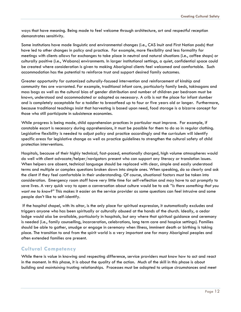ways that have meaning. Being made to feel welcome through architecture, art and respectful reception demonstrates sensitivity.

Some institutions have made linguistic and environmental changes (i.e., CAS Inuit and First Nation pods) that have led to other changes in policy and practice. For example, more flexibility and less formality for meetings with clients allows for exchanges to take place in neutral and natural situations (i.e., coffee shops) or culturally positive (i.e., Wabano) environments. In larger institutional settings, a quiet, confidential space could be created where consideration is given to making Aboriginal clients feel welcomed and comfortable. Such accommodation has the potential to reinforce trust and support desired family outcomes.

Greater opportunity for customized culturally-focused intervention and reinforcement of kinship and community ties are warranted. For example, traditional infant care, particularly family beds, takinagans and moss bags as well as the cultural bias of gender distribution and number of children per bedroom must be known, understood and accommodated or adapted as necessary. A crib is not the place for infant slumber and is completely acceptable for a toddler to breastfeed up to four or five years old or longer. Furthermore, because traditional teachings insist that harvesting is based upon need, food storage is a bizarre concept for those who still participate in subsistence economies.

While progress is being made, child apprehension practices in particular must improve. For example, if constable escort is necessary during apprehensions, it must be possible for them to do so in regular clothing. Legislative flexibility is needed to adjust policy and practice accordingly and the curriculum will identify specific areas for legislative change as well as practice guidelines to strengthen the cultural safety of child protection interventions.

Hospitals, because of their highly technical, fast-paced, emotionally charged, high volume atmospheres would do well with client advocate/helper/navigators present who can support any literacy or translation issues. When helpers are absent, technical language should be replaced with clear, simple and easily understood terms and multiple or complex questions broken down into simple ones. When speaking, do so clearly and ask the client if they feel comfortable in their understanding. Of course, situational factors must be taken into consideration. Emergency room staff have very little time for self-reflection and may have to act promptly to save lives. A very quick way to open a conversation about culture would be to ask *"Is there something that you want me to know?"* This makes it easier on the service provider as some questions can feel intrusive and some people don't like to self-identify.

If the hospital chapel, with its altar, is the only place for spiritual expression, it automatically excludes and triggers anyone who has been spiritually or culturally abused at the hands of the church. Ideally, a cedar lodge would *also* be available, particularly in hospitals, but any where that spiritual guidance and ceremony is needed (i.e., family counselling, incarceration, celebrations, long term care and hospice settings). Families should be able to gather, smudge or engage in ceremony when illness, imminent death or birthing is taking place. The transition to and from the spirit world is a very important one for many Aboriginal peoples and often extended families are present.

#### <span id="page-12-0"></span>**Cultural Competency**

While there is value in knowing and respecting difference, service providers must know how to act and react in the moment. In this phase, it is about the quality of the action. Much of the skill in this phase is about building and *maintaining* trusting relationships. Processes must be adapted to unique circumstances and meet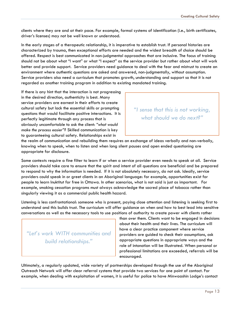clients where they are and at their pace. For example, formal systems of identification (i.e., birth certificates, driver's licenses) may not be well known or understood.

In the early stages of a therapeutic relationship, it is imperative to establish trust. If personal histories are characterized by trauma, then exceptional efforts are needed and the widest breadth of choice should be offered. Respect is best communicated in non-judgmental approaches that are inclusive. The focus of training should not be about what "I want" or what "I expect" as the service provider but rather about what will work better and provide support. Service providers need guidance to deal with the fear and mistrust to create an environment where authentic questions are asked and answered, non-judgmentally, without assumption. Service providers also need a curriculum that promotes growth, understanding and support so that it is not regarded as another training program in addition to existing mandated training.

If there is any hint that the interaction is not progressing in the desired direction, authenticity is best. Many service providers are earnest in their efforts to create cultural safety but lack the essential skills or prompting questions that would facilitate positive interactions. It is perfectly legitimate through any process that is obviously uncomfortable to ask the client: *"what would make the process easier"?* Skilled communication is key to guaranteeing cultural safety. Relationships exist in

# *"I sense that this is not working, what should we do next?"*

the realm of communication and rebuilding them requires an exchange of ideas verbally and non-verbally, knowing when to speak, when to listen and when long silent pauses and open ended questioning are appropriate for disclosure.

Some contexts require a fine filter to learn if or when a service provider even needs to speak at all. Service providers should take care to ensure that the spirit and intent of all questions are beneficial and be prepared to respond to why the information is needed. If it is not absolutely necessary, do not ask. Ideally, service providers could speak in or greet clients in an Aboriginal language: for example, opportunities exist for people to learn Inuktitut for free in Ottawa. In other scenarios, what is not said is just as important. For example, smoking cessation programs must always acknowledge the sacred place of tobacco rather than singularly viewing it as a commercial public health hazard.

Listening is less confrontational: someone who is present, paying close attention and listening is seeking first to understand and this builds trust. The curriculum will offer guidance on when and how to best lead into sensitive conversations as well as the necessary tools to use positions of authority to create power *with* clients rather

*"Let's work WITH communities and build relationships."*

than *over* them. Clients want to be engaged in decisions about their health and their lives. The curriculum will have a clear practice component where service providers are guided to check their assumptions, ask appropriate questions in appropriate ways and the role of intonation will be illustrated. When personal or professional limitations are exceeded, referrals will be encouraged.

Ultimately, a regularly updated, wide variety of partnerships developed through the use of the Aboriginal Outreach Network will offer clear referral systems that provide two services for one point of contact. For example, when dealing with exploitation of women, it is useful for police to have Minwaashin Lodge's contact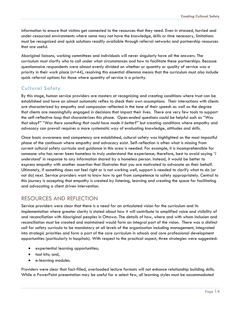information to ensure that victims get connected to the resources that they need. Even in stressed, hurried and under-resourced environments where some may not have the knowledge, skills or time necessary, limitations must be recognized and quick solutions readily available through referral networks and partnership resources that are useful.

Aboriginal liaisons, working committees and individuals will never singularly have all the answers. The curriculum must clarify who to call under what circumstances and how to facilitate these partnerships. Because questionnaire respondents were almost evenly divided on whether or quantity or quality of service was a priority in their work place ( $n=44$ ), resolving this essential dilemma means that the curriculum must also include quick referral options for those where quantity of service is a priority.

#### <span id="page-14-0"></span>**Cultural Safety**

By this stage, human service providers are masters at recognizing and creating conditions where trust can be established and have an almost automatic reflex to check their own assumptions. Their interactions with clients are characterized by empathy and compassion reflected in the tone of their speech as well as the degree that clients are meaningfully engaged in decisions that impact their lives. There are very few tools to support the self-reflective loop that characterizes this phase. Open-ended questions could be helpful such as *"Was that okay?" "Was there something that could have made it better?"* but creating conditions where empathy and advocacy can prevail requires a more systematic way of evaluating knowledge, attitudes and skills.

Once basic awareness and competency are established, cultural safety was highlighted as the most impactful phase of the continuum where empathy and advocacy exist. Self-reflection is often what is missing from current cultural safety curricula and guidance in this area is needed. For example, it is incomprehensible for someone who has never been homeless to truly understand the experience; therefore, best to avoid saying *'I understand'* in response to any information shared by a homeless person. Instead, it would be better to express empathy with another assertion that illustrates that you are motivated to advocate on their behalf. Ultimately, if something does not feel right or is not working well, support is needed to clarify what to do (or not do) next. Service providers want to know how to get from competence to safety appropriately. Central to this journey is accepting that empathy is created by listening, learning and creating the space for facilitating and advocating a client driven intervention.

#### <span id="page-14-1"></span>RESOURCES AND REFLECTION

Service providers were clear that there is a need for an articulated vision for the curriculum and its implementation where greater clarity is stated about how it will contribute to amplified voice and visibility of and reconciliation with Aboriginal peoples in Ottawa. The details of how, where and with whom inclusion and reconciliation must be created and maintained would form an integral part of the vision. There was a distinct call for safety curricula to be mandatory at all levels of the organization including management, integrated into strategic priorities and form a part of the core curriculum in schools and core professional development opportunities (particularly in hospitals). With respect to the practical aspect, three strategies were suggested:

- experiential learning opportunities;
- tool kits; and,
- e-learning modules.

Providers were clear that fact-filled, overloaded lecture formats will not enhance relationship building skills. While a PowerPoint presentation may be useful for a select few, *all* learning styles must be accommodated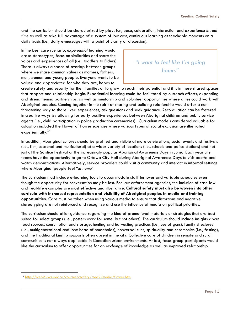and the curriculum should be characterized by play, fun, ease, celebration, interaction and experience *in real time* as well as take full advantage of a system of low cost, continuous learning at teachable moments on a daily basis (i.e., daily e-messages with a point of clarity or discussion).

In the best case scenario, *experiential* learning would erase stereotypes, focus on similarities and share the voices and experiences of all (i.e., toddlers to Elders). There is always a space of overlap between groups where we share common values as mothers, fathers, men, women and young people. Everyone wants to be valued and appreciated for who they are, hopes to

*"I want to feel like I'm going home."*

create safety and security for their families or to grow to reach their potential and it is in these shared spaces that rapport and relationship begin. Experiential learning could be facilitated by outreach efforts, expanding and strengthening partnerships, as well as mentorship and volunteer opportunities where allies could work with Aboriginal peoples. Coming together in the spirit of sharing and building relationship would offer a nonthreatening way to share lived experiences, ask questions and seek guidance. Reconciliation can be fostered in creative ways by allowing for early positive experiences between Aboriginal children and public service agents (i.e., child participation in police graduation ceremonies). Curriculum models considered valuable for adaption included the Flower of Power exercise where various types of social exclusion are illustrated experientially.<sup>14</sup>

In addition, Aboriginal cultures should be profiled and visible at more celebrations, social events and festivals (i.e., film, seasonal and multicultural) at a wider variety of locations (i.e., schools and police stations) and not just at the Solstice Festival or the increasingly popular Aboriginal Awareness Days in June. Each year city teams have the opportunity to go to Ottawa City Hall during Aboriginal Awareness Days to visit booths and watch demonstrations. Alternatively, service providers could visit a community and interact in informal settings where Aboriginal people feel *"at home*".

The curriculum must include e-learning tools to accommodate staff turnover and variable schedules even though the opportunity for conversation may be lost. For law enforcement agencies, the inclusion of case law and real-life examples are most effective and illustrative. **Cultural safety must also be woven into other curricula with increased representation and visibility of Aboriginal peoples in media and training opportunities.** Care must be taken when using various media to ensure that distortions and negative stereotyping are not reinforced and recognize and use the influence of media on political priorities.

The curriculum should offer guidance regarding the kind of promotional materials or strategies that are best suited for select groups (i.e., posters work for some, but not others). The curriculum should include insights about food sources, consumption and storage, hunting and harvesting practices (i.e., use of guns), family structures (i.e., multigenerational and lone head of households), nonverbal cues, spirituality and ceremonies (i.e., fasting), and the traditional kinship supports often absent in the city. Collective care of children in remote and rural communities is not always applicable in Canadian urban environments. At last, focus group participants would like the curriculum to offer opportunities for an *exchange* of knowledge as well as improved relationship.

l

<sup>14</sup> <http://web2.uvcs.uvic.ca/courses/csafety/mod2/media/flower.htm>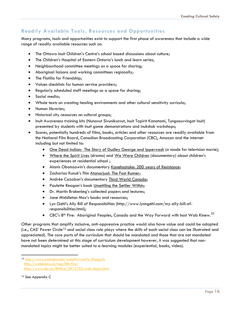#### <span id="page-16-0"></span>**Readily Available Tools, Resources and Opportunities**

Many programs, tools and opportunities exist to support the first phase of awareness that include a wide range of readily available resources such as:

- The Ottawa Inuit Children's Centre's school based discussions about culture;
- The Children's Hospital of Eastern Ontario's lunch and learn series;
- Neighbourhood committee meetings as a space for sharing;
- Aboriginal liaisons and working committees regionally;
- The Flotilla for Friendship:
- Values checklists for human service providers;
- Regularly scheduled staff meetings as a space for sharing;
- Social media;
- Whole texts on creating healing environments and other cultural sensitivity curricula;
- **•** Human libraries;
- Historical city resources on cultural groups;
- Inuit Awareness training kits (Nunavut Sivuniksavut, Inuit Tapirit Kanatami, Tungasuvvingat Inuit) presented by students with Inuit game demonstrations and inukshuk workshops;
- Scores, potentially hundreds of films, books, articles and other resources are readily available from the National Film Board, Canadian Broadcasting Corporation (CBC), Amazon and the internet including but not limited to:
	- One Dead Indian: The Story of Dudley George and Ipperwash (a made for television movie);
	- Where the Spirit Lives (drama) and We Were Children (documentary) about children's experiences at residential school ;
	- Alanis Obomsawin's documentary Kanehsatake: 200 years of Resistance;
	- Zacharias Kunuk's film Atanarjuat: The Fast Runner;
	- **.** Andrée Cazabon's documentary Third World Canada;
	- Paulette Reagan's book Unsettling the Settler Within;
	- Dr. Martin Brokenleg's collected papers and lectures;
	- Jane Middleton Moz's books and resources;
	- Lyn Gehl's Ally Bill of Responsibilties (http://www.lynngehl.com/my-ally-bill-ofresponsibilities.html);
	- $\bullet$  CBC's 8<sup>th</sup> Fire: Aboriginal Peoples, Canada and the Way Forward with host Wab Kinew.<sup>15</sup>

Other programs that amplify inclusive, anti-oppressive practice would also have value and could be adapted (i.e., CAS' Power Circle<sup>16</sup> and social class role plays where the skills of each social class can be illustrated and appreciated). The core parts of the curriculum that should be mandated and those that are not mandated have not been determined at this stage of curriculum development however, it was suggested that nonmandated topics might be better suited to e-learning modules (experiential, books, video).

l

<sup>15</sup> <http://www.youtube.com/watch?v=xmYu-Wppp3c> <http://wabkinew.ca/tag/8th-fire/>

<http://www.cbc.ca/8thfire/2012/03/wab-kinew.html>

<sup>&</sup>lt;sup>16</sup> See Appendix C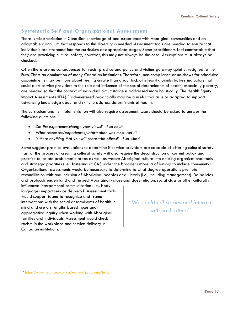#### <span id="page-17-0"></span>**Systematic Self and Organizational Assessment**

There is wide variation in Canadian knowledge of and experience with Aboriginal communities and an adaptable curriculum that responds to this diversity is needed. Assessment tools are needed to ensure that individuals are streamed into the curriculum at appropriate stages. Some practitioners feel comfortable that they are practicing cultural safety; however, this may not always be the case. Assumptions must always be checked.

Often there are no consequences for racist practice and policy and victims go away quietly, resigned to the Euro-Christian domination of many Canadian institutions. Therefore, non-compliance or no-shows for scheduled appointments may be more about feeling unsafe than about lack of integrity. Similarly, key indicators that could alert service providers to the role and influence of the social determinants of health, especially poverty, are needed so that the context of individual circumstance is addressed more holistically. The Health Equity Impact Assessment (HEIA)<sup>17</sup> administered provincially may be a useful tool as is or adapted to support advancing knowledge about and skills to address determinants of health.

The curriculum and its implementation will also require assessment. Users should be asked to answer the following questions:

- *Did the experience change your views? If so how?*
- *What resources/experiences/information was most useful?*
- *Is there anything that you will share with others? If so what?*

Some suggest practice evaluations to determine if service providers are capable of offering cultural safety. Part of the process of creating cultural safety will also require the deconstruction of current policy and practice to isolate problematic areas as well as weave Aboriginal culture into existing organizational tools and strategic priorities (i.e., fostering at CAS under the broader umbrella of kinship to include community). Organizational assessments would be necessary to determine to what degree operations promote reconciliation with and inclusion of Aboriginal peoples at all levels (i.e., including management). Do policies and protocols understand and respect Aboriginal values and does religion, social class or other culturally

influenced interpersonal communication (i.e., body language) impact service delivery? Assessment tools would support teams to recognize and frame interventions with the social determinants of health in mind and use a strengths based focus and appreciative inquiry when working with Aboriginal families and individuals. Assessment would check racism in the workplace and service delivery in Canadian institutions.

*"We could tell stories and interact with each other."*

 $\overline{a}$ 

<sup>17</sup> <http://www.health.gov.on.ca/en/pro/programs/heia/>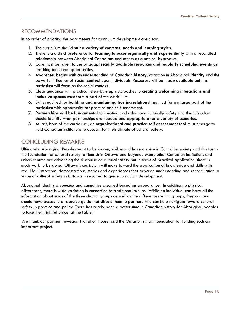## <span id="page-18-0"></span>RECOMMENDATIONS

In no order of priority, the parameters for curriculum development are clear.

- 1. The curriculum should **suit a variety of contexts, needs and learning styles**.
- 2. There is a distinct preference for **learning to occur organically and experientially** with a reconciled relationship between Aboriginal Canadians and others as a natural byproduct.
- 3. Care must be taken to use or adapt **readily available resources and regularly scheduled events** as teaching tools and opportunities.
- 4. Awareness begins with an understanding of Canadian **history**, variation in Aboriginal **identity** and the powerful influence of **social context** upon individuals. Resources will be made available but the curriculum will focus on the social context.
- 5. Clear guidance with practical, step-by-step approaches to **creating welcoming interactions and inclusive spaces** must form a part of the curriculum.
- 6. Skills required for **building and maintaining trusting relationships** must form a large part of the curriculum with opportunity for practice and self-assessment.
- 7. **Partnerships will be fundamental** to creating and advancing culturally safety and the curriculum should identify what partnerships are needed and appropriate for a variety of scenarios.
- 8. At last, born of the curriculum, an **organizational and practice self assessment tool** must emerge to hold Canadian institutions to account for their climate of cultural safety.

# <span id="page-18-1"></span>CONCLUDING REMARKS

Ultimately, Aboriginal Peoples want to be known, visible and have a voice in Canadian society and this forms the foundation for cultural safety to flourish in Ottawa and beyond. Many other Canadian institutions and urban centres are advancing the discourse on cultural safety but in terms of practical application, there is much work to be done. Ottawa's curriculum will move toward the application of knowledge and skills with real life illustrations, demonstrations, stories and experiences that advance understanding and reconciliation. A vision of cultural safety in Ottawa is required to guide curriculum development.

Aboriginal identity *is complex* and cannot be assumed based on appearance. In addition to physical differences, there is wide variation in connection to traditional culture. While no individual can have all the information about each of the three distinct groups as well as the differences within groups, they can and should have access to a resource guide that directs them to partners who can help navigate toward cultural safety in practice and policy. There has rarely been a better time in Canadian history for Aboriginal peoples to take their rightful place 'at the table.'

We thank our partner Tewegan Transition House, and the Ontario Trillium Foundation for funding such an important project.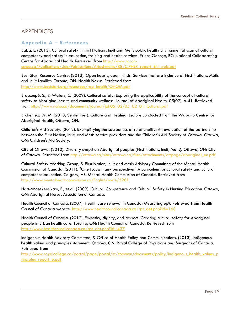## <span id="page-19-0"></span>APPENDICES

#### <span id="page-19-1"></span>**Appendix A – References**

Baba, L. (2013). Cultural safety in First Nations, Inuit and Métis public health: Environmental scan of cultural competency and safety in education, training and health services. Prince George, BC: National Collaborating Centre for Aboriginal Health. Retrieved from [http://www.nccah](http://www.nccah-ccnsa.ca/Publications/Lists/Publications/Attachments/88/CIPHER_report_EN_web.pdf)[ccnsa.ca/Publications/Lists/Publications/Attachments/88/CIPHER\\_report\\_EN\\_web.pdf](http://www.nccah-ccnsa.ca/Publications/Lists/Publications/Attachments/88/CIPHER_report_EN_web.pdf)

Best Start Resource Centre. (2013). Open hearts, open minds: Services that are inclusive of First Nations, Métis and Inuit families. Toronto, ON: Health Nexus. Retrieved from [http://www.beststart.org/resources/rep\\_health/OHOM.pdf](http://www.beststart.org/resources/rep_health/OHOM.pdf)

Brascoupé, S., & Waters, C. (2009). Cultural safety: Exploring the applicability of the concept of cultural safety to Aboriginal health and community wellness. Journal of Aboriginal Health, 05(02), 6-41. Retrieved from [http://www.naho.ca/documents/journal/jah05\\_02/05\\_02\\_01\\_Cultural.pdf](http://www.naho.ca/documents/journal/jah05_02/05_02_01_Cultural.pdf)

Brokenleg, Dr. M. (2013, September). Culture and Healing. Lecture conducted from the Wabano Centre for Aboriginal Health, Ottawa, ON.

Children's Aid Society. (2012). Exemplifying the sacredness of relationality: An evaluation of the partnership between the First Nation, Inuit, and Métis service providers and the Children's Aid Society of Ottawa. Ottawa, ON: Children's Aid Society.

City of Ottawa. (2010). Diversity snapshot: Aboriginal peoples (First Nations, Inuit, Métis). Ottawa, ON: City of Ottawa. Retrieved from [http://ottawa.ca/sites/ottawa.ca/files/attachments/ottpage/aboriginal\\_en.pdf](http://ottawa.ca/sites/ottawa.ca/files/attachments/ottpage/aboriginal_en.pdf)

Cultural Safety Working Group, & First Nation, Inuit and Métis Advisory Committee of the Mental Health Commission of Canada, (2011). "One focus; many perspectives" A curriculum for cultural safety and cultural competence education. Calgary, AB: Mental Health Commission of Canada. Retrieved from <http://www.mentalhealthcommission.ca/English/node/5281>

Hart-Wasekeesikaw, F., et al. (2009). Cultural Competence and Cultural Safety in Nursing Education. Ottawa, ON: Aboriginal Nurses Association of Canada.

Health Council of Canada. (2007). Health care renewal in Canada: Measuring up?. Retrieved from Health Council of Canada website: [http://www.healthcouncilcanada.ca/rpt\\_det.php?id=168](http://www.healthcouncilcanada.ca/rpt_det.php?id=168)

Health Council of Canada. (2012). Empathy, dignity, and respect: Creating cultural safety for Aboriginal people in urban health care. Toronto, ON: Health Council of Canada. Retrieved from [http://www.healthcouncilcanada.ca/rpt\\_det.php?id=437](http://www.healthcouncilcanada.ca/rpt_det.php?id=437)

Indigenous Health Advisory Committee, & Office of Health Policy and Communications, (2013). Indigenous health values and principles statement. Ottawa, ON: Royal College of Physicians and Surgeons of Canada. Retrieved from

[http://www.royalcollege.ca/portal/page/portal/rc/common/documents/policy/indigenous\\_health\\_values\\_p](http://www.royalcollege.ca/portal/page/portal/rc/common/documents/policy/indigenous_health_values_principles_report_e.pdf) [rinciples\\_report\\_e.pdf](http://www.royalcollege.ca/portal/page/portal/rc/common/documents/policy/indigenous_health_values_principles_report_e.pdf)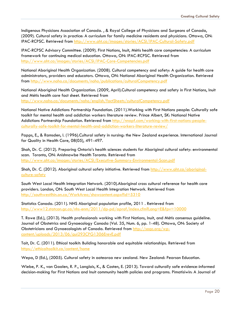Indigenous Physicians Association of Canada. , & Royal College of Physicians and Surgeons of Canada, (2009). Cultural safety in practice: A curriculum for family medicine residents and physicians. Ottawa, ON: IPAC-RCPSC. Retrieved from<http://www.aht.ca/images/stories/ACSI/IPAC-Cultural-Safety.pdf>

IPAC-RCPSC Advisory Committee. (2009). First Nations, Inuit, Métis health core competencies: A curriculum framework for continuing medical education. Ottawa, ON: IPAC-RCPSC. Retrieved from <http://www.aht.ca/images/stories/ACSI/IPAC-Core-Competencies.pdf>

National Aboriginal Health Organization. (2008). Cultural competency and safety: A guide for health care administrators, providers and educators. Ottawa, ON: National Aboriginal Health Organization. Retrieved from<http://www.naho.ca/documents/naho/publications/culturalCompetency.pdf>

National Aboriginal Health Organization. (2009, April).Cultural competency and safety in First Nations, Inuit and Métis health care fact sheet. Retrieved from <http://www.naho.ca/documents/naho/english/factSheets/culturalCompetency.pdf>

National Native Addictions Partnership Foundation. (2011).Working with First Nations people: Culturally safe toolkit for mental health and addiction workers literature review. Prince Albert, SK: National Native Addictions Partnership Foundation. Retrieved from [http://nnapf.com/working-with-first-nations-people](http://nnapf.com/working-with-first-nations-people-culturally-safe-toolkit-for-mental-health-and-addiction-workers-literature-review/)[culturally-safe-toolkit-for-mental-health-and-addiction-workers-literature-review/](http://nnapf.com/working-with-first-nations-people-culturally-safe-toolkit-for-mental-health-and-addiction-workers-literature-review/)

Papps, E., & Ramsden, I. (1996).Cultural safety in nursing: the New Zealand experience. International Journal for Quality in Health Care, 08(05), 491-497.

Shah, Dr. C. (2012). Preparing Ontario's health sciences students for Aboriginal cultural safety: environmental scan. Toronto, ON: Anishnawbe Health Toronto. Retrieved from <http://www.aht.ca/images/stories/ACSI/Executive-Summary-Environmental-Scan.pdf>

Shah, Dr. C. (2012). Aboriginal cultural safety initiative. Retrieved from [http://www.aht.ca/aboriginal](http://www.aht.ca/aboriginal-culture-safety)[culture-safety](http://www.aht.ca/aboriginal-culture-safety)

South West Local Health Integration Network. (2010).Aboriginal cross cultural reference for health care providers. London, ON: South West Local Health Integration Network. Retrieved from <http://southwestlhin.on.ca/WorkArea/showcontent.aspx?id=5310>

Statistics Canada. (2011). NHS Aboriginal population profile, 2011 . Retrieved from <http://www12.statcan.gc.ca/nhs-enm/2011/dp-pd/aprof/index.cfm?Lang=E&fpv=10000>

T. Rowe (Ed.), (2013). Health professionals working with First Nations, Inuit, and Métis consensus guideline. Journal of Obstetrics and Gynaecology Canada (Vol. 35, Num. 6, pp. 1-48). Ottawa, ON: Society of Obstetricians and Gynaecologists of Canada. Retrieved from [http://sogc.org/wp](http://sogc.org/wp-content/uploads/2013/06/gui293CPG1306ErevE.pdf)[content/uploads/2013/06/gui293CPG1306ErevE.pdf](http://sogc.org/wp-content/uploads/2013/06/gui293CPG1306ErevE.pdf)

Tait, Dr. C. (2011). Ethical toolkit: Building honorable and equitable relationships. Retrieved from <https://ethicaltoolkit.ca/content/home>

Wepa, D (Ed.), (2005). Cultural safety in aotearoa new zealand. New Zealand: Pearson Education.

Wiebe, P. K., van Gaalen, R. P., Langlois, K., & Costen, E. (2013). Toward culturally safe evidence-informed decision-making for First Nations and Inuit community health policies and programs. Pimatisiwin: A Journal of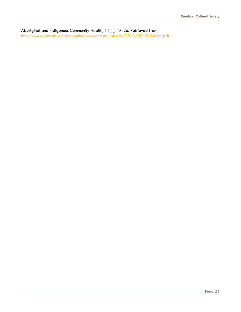Aboriginal and Indigenous Community Health, 11(1), 17-26. Retrieved from <http://www.pimatisiwin.com/online/wp-content/uploads/2013/07/02Wiebe.pdf>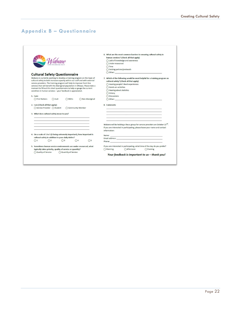T.

# <span id="page-22-0"></span>**Appendix B – Questionnaire**

|                                                                                                                                                                                                                                                                                                                                                                                                                                                                  | 6. What are the most common barriers to ensuring cultural safety in                                             |
|------------------------------------------------------------------------------------------------------------------------------------------------------------------------------------------------------------------------------------------------------------------------------------------------------------------------------------------------------------------------------------------------------------------------------------------------------------------|-----------------------------------------------------------------------------------------------------------------|
|                                                                                                                                                                                                                                                                                                                                                                                                                                                                  | human services? (Check all that apply)                                                                          |
|                                                                                                                                                                                                                                                                                                                                                                                                                                                                  | ○ Lack of knowledge and awareness                                                                               |
|                                                                                                                                                                                                                                                                                                                                                                                                                                                                  | O Under-resourced                                                                                               |
|                                                                                                                                                                                                                                                                                                                                                                                                                                                                  | $O$ Time                                                                                                        |
|                                                                                                                                                                                                                                                                                                                                                                                                                                                                  | ○ Existing policies/protocols                                                                                   |
|                                                                                                                                                                                                                                                                                                                                                                                                                                                                  | $\bigcap$ Other:                                                                                                |
| <b>Cultural Safety Questionnaire</b>                                                                                                                                                                                                                                                                                                                                                                                                                             |                                                                                                                 |
| Wabano is currently working to develop a training program on the topic of<br>cultural safety to both increase capacity within our staff and with external<br>service providers. The training program will help to improve front-line<br>services that will benefit the Aboriginal population in Ottawa. Please take a<br>moment to fill out this short questionnaire to help us gauge the current<br>condition in human services - your feedback is appreciated. | 7. Which of the following would be most helpful for a training program on                                       |
|                                                                                                                                                                                                                                                                                                                                                                                                                                                                  | cultural safety? (Check all that apply)                                                                         |
|                                                                                                                                                                                                                                                                                                                                                                                                                                                                  | Hearing people's lived experiences                                                                              |
|                                                                                                                                                                                                                                                                                                                                                                                                                                                                  | ◯ Hands-on activities                                                                                           |
|                                                                                                                                                                                                                                                                                                                                                                                                                                                                  | ◯ Hearing about statistics                                                                                      |
|                                                                                                                                                                                                                                                                                                                                                                                                                                                                  | O History                                                                                                       |
| $1.$ $1am:$                                                                                                                                                                                                                                                                                                                                                                                                                                                      | ◯ Discussions                                                                                                   |
| Non-Aboriginal<br>◯ First Nations<br>O Inuit<br>◯ Métis                                                                                                                                                                                                                                                                                                                                                                                                          | $\bigcirc$ Other:                                                                                               |
| 2. I am (Check all that apply):                                                                                                                                                                                                                                                                                                                                                                                                                                  | 8. Comments                                                                                                     |
| ○ Service Provider ○ Student<br>○ Community Member                                                                                                                                                                                                                                                                                                                                                                                                               |                                                                                                                 |
|                                                                                                                                                                                                                                                                                                                                                                                                                                                                  |                                                                                                                 |
| 3. What does cultural safety mean to you?                                                                                                                                                                                                                                                                                                                                                                                                                        |                                                                                                                 |
|                                                                                                                                                                                                                                                                                                                                                                                                                                                                  |                                                                                                                 |
|                                                                                                                                                                                                                                                                                                                                                                                                                                                                  |                                                                                                                 |
|                                                                                                                                                                                                                                                                                                                                                                                                                                                                  |                                                                                                                 |
|                                                                                                                                                                                                                                                                                                                                                                                                                                                                  |                                                                                                                 |
|                                                                                                                                                                                                                                                                                                                                                                                                                                                                  | Wabano will be holding a focus group for service providers on October 22 <sup>nd</sup> .                        |
|                                                                                                                                                                                                                                                                                                                                                                                                                                                                  | If you are interested in participating, please leave your name and contact                                      |
|                                                                                                                                                                                                                                                                                                                                                                                                                                                                  | information:                                                                                                    |
|                                                                                                                                                                                                                                                                                                                                                                                                                                                                  |                                                                                                                 |
| cultural safety in addition to your daily duties?                                                                                                                                                                                                                                                                                                                                                                                                                | Name: Name: And All And All And All And All And All And All And All And All And All And All And All And All And |
| 4. On a scale of 1 to 5 (5 being extremely important), how important is<br>$\bigcap$<br>$\bigcap$ 3<br>$\bigcirc$ 4<br>$\bigcirc$                                                                                                                                                                                                                                                                                                                                | Email address: The contract of the contract of the contract of the contract of the contract of the contract of  |
| $\bigcirc$ 1                                                                                                                                                                                                                                                                                                                                                                                                                                                     |                                                                                                                 |
| 5. Sometimes human service environments are under-resourced; what                                                                                                                                                                                                                                                                                                                                                                                                | If you are interested in participating, what time of the day do you prefer?                                     |
|                                                                                                                                                                                                                                                                                                                                                                                                                                                                  | O Morning<br>Afternoon                                                                                          |
| typically takes priority, quality of service or quantity?                                                                                                                                                                                                                                                                                                                                                                                                        | $O$ Evening                                                                                                     |
| Quality of Service<br>Quantity of Service                                                                                                                                                                                                                                                                                                                                                                                                                        | Your feedback is important to us - thank you!                                                                   |